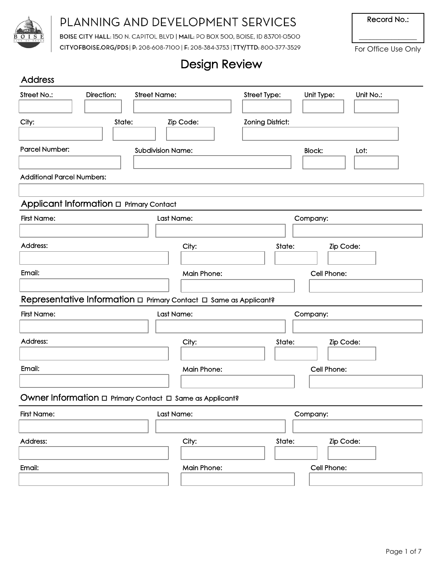

# PLANNING AND DEVELOPMENT SERVICES

BOISE CITY HALL: 150 N. CAPITOL BLVD | MAIL: PO BOX 500, BOISE, ID 83701-0500 CITYOFBOISE.ORG/PDS | P: 208-608-7100 | F: 208-384-3753 | TTY/TTD: 800-377-3529 Record No.:

 $\overline{\phantom{a}}$  , where  $\overline{\phantom{a}}$ For Office Use Only

# Design Review

| <b>Address</b>     |                                         |                                                                    |                         |               |           |  |  |
|--------------------|-----------------------------------------|--------------------------------------------------------------------|-------------------------|---------------|-----------|--|--|
| Street No.:        | Direction:                              | <b>Street Name:</b>                                                | Street Type:            | Unit Type:    | Unit No.: |  |  |
|                    |                                         |                                                                    |                         |               |           |  |  |
| City:              | State:                                  | Zip Code:                                                          | <b>Zoning District:</b> |               |           |  |  |
|                    |                                         |                                                                    |                         |               |           |  |  |
| Parcel Number:     |                                         | <b>Subdivision Name:</b>                                           |                         | <b>Block:</b> | Lot:      |  |  |
|                    |                                         |                                                                    |                         |               |           |  |  |
|                    | <b>Additional Parcel Numbers:</b>       |                                                                    |                         |               |           |  |  |
|                    |                                         |                                                                    |                         |               |           |  |  |
|                    | Applicant Information a Primary Contact |                                                                    |                         |               |           |  |  |
| <b>First Name:</b> |                                         | Last Name:                                                         |                         | Company:      |           |  |  |
| Address:           |                                         | City:                                                              | State:                  |               | Zip Code: |  |  |
|                    |                                         |                                                                    |                         |               |           |  |  |
| Email:             |                                         | <b>Main Phone:</b>                                                 |                         | Cell Phone:   |           |  |  |
|                    |                                         |                                                                    |                         |               |           |  |  |
|                    |                                         | Representative Information a Primary Contact a Same as Applicant?  |                         |               |           |  |  |
| <b>First Name:</b> |                                         | Last Name:                                                         |                         | Company:      |           |  |  |
|                    |                                         |                                                                    |                         |               |           |  |  |
| Address:           |                                         | City:                                                              | State:                  | Zip Code:     |           |  |  |
|                    |                                         |                                                                    |                         |               |           |  |  |
| Email:             |                                         | <b>Main Phone:</b>                                                 |                         | Cell Phone:   |           |  |  |
|                    |                                         |                                                                    |                         |               |           |  |  |
|                    |                                         | Owner Information $\Box$ Primary Contact $\Box$ Same as Applicant? |                         |               |           |  |  |
| <b>First Name:</b> |                                         | Last Name:                                                         |                         | Company:      |           |  |  |
|                    |                                         |                                                                    |                         |               |           |  |  |
| Address:           |                                         | City:                                                              | State:                  |               | Zip Code: |  |  |
|                    |                                         |                                                                    |                         |               |           |  |  |
| Email:             |                                         | <b>Main Phone:</b>                                                 |                         | Cell Phone:   |           |  |  |
|                    |                                         |                                                                    |                         |               |           |  |  |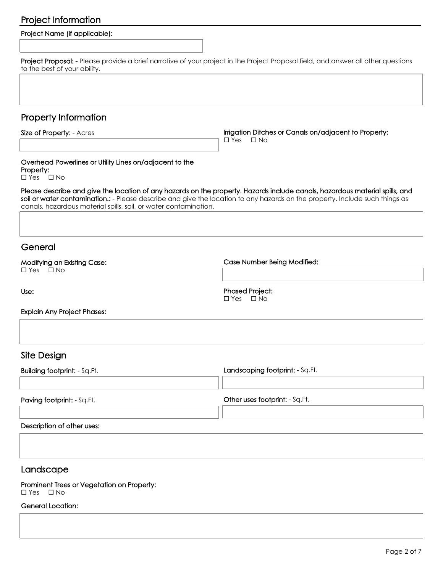# Project Information

| Project Name (if applicable):                                                                                                                                                                                                                                                                                                    |                                                                                     |
|----------------------------------------------------------------------------------------------------------------------------------------------------------------------------------------------------------------------------------------------------------------------------------------------------------------------------------|-------------------------------------------------------------------------------------|
|                                                                                                                                                                                                                                                                                                                                  |                                                                                     |
| Project Proposal: - Please provide a brief narrative of your project in the Project Proposal field, and answer all other questions<br>to the best of your ability.                                                                                                                                                               |                                                                                     |
|                                                                                                                                                                                                                                                                                                                                  |                                                                                     |
| <b>Property Information</b>                                                                                                                                                                                                                                                                                                      |                                                                                     |
| Size of Property: - Acres                                                                                                                                                                                                                                                                                                        | Irrigation Ditches or Canals on/adjacent to Property:<br>$\Box$ Yes<br>$\square$ No |
| Overhead Powerlines or Utility Lines on/adjacent to the<br>Property:<br>$\square$ Yes<br>$\Box$ No                                                                                                                                                                                                                               |                                                                                     |
| Please describe and give the location of any hazards on the property. Hazards include canals, hazardous material spills, and<br>soil or water contamination.: - Please describe and give the location to any hazards on the property. Include such things as<br>canals, hazardous material spills, soil, or water contamination. |                                                                                     |
|                                                                                                                                                                                                                                                                                                                                  |                                                                                     |
| General                                                                                                                                                                                                                                                                                                                          |                                                                                     |
| Modifying an Existing Case:<br>$\Box$ Yes $\Box$ No                                                                                                                                                                                                                                                                              | Case Number Being Modified:                                                         |
| Use:                                                                                                                                                                                                                                                                                                                             | <b>Phased Project:</b><br>$\Box$ No<br>$\Box$ Yes                                   |
| <b>Explain Any Project Phases:</b>                                                                                                                                                                                                                                                                                               |                                                                                     |
|                                                                                                                                                                                                                                                                                                                                  |                                                                                     |
| Site Design                                                                                                                                                                                                                                                                                                                      |                                                                                     |
| <b>Building footprint: - Sq.Ft.</b>                                                                                                                                                                                                                                                                                              | Landscaping footprint: - Sq.Ft.                                                     |
| Paving footprint: - Sq.Ft.                                                                                                                                                                                                                                                                                                       | Other uses footprint: - Sq.Ft.                                                      |
| Description of other uses:                                                                                                                                                                                                                                                                                                       |                                                                                     |
|                                                                                                                                                                                                                                                                                                                                  |                                                                                     |
| Landscape                                                                                                                                                                                                                                                                                                                        |                                                                                     |
| Prominent Trees or Vegetation on Property:<br>$\square$ No<br>$\square$ Yes                                                                                                                                                                                                                                                      |                                                                                     |
| General Location:                                                                                                                                                                                                                                                                                                                |                                                                                     |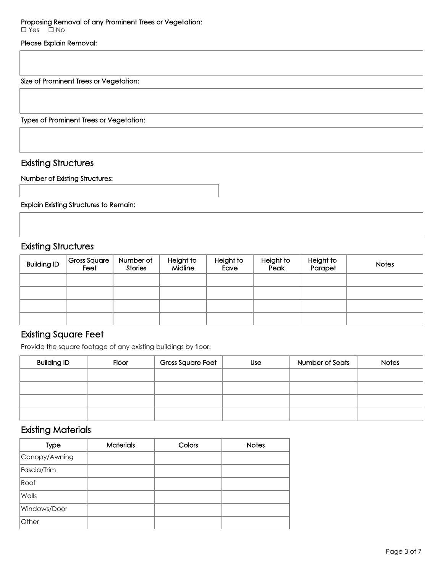#### Please Explain Removal:

Size of Prominent Trees or Vegetation:

Types of Prominent Trees or Vegetation:

### Existing Structures

#### Number of Existing Structures:

Explain Existing Structures to Remain:

### Existing Structures

| <b>Building ID</b> | <b>Gross Square</b><br>Feet | Number of<br>Stories | Height to<br>Midline | Height to<br>Eave | Height to<br>Peak | Height to<br>Parapet | <b>Notes</b> |
|--------------------|-----------------------------|----------------------|----------------------|-------------------|-------------------|----------------------|--------------|
|                    |                             |                      |                      |                   |                   |                      |              |
|                    |                             |                      |                      |                   |                   |                      |              |
|                    |                             |                      |                      |                   |                   |                      |              |
|                    |                             |                      |                      |                   |                   |                      |              |

## Existing Square Feet

Provide the square footage of any existing buildings by floor.

| <b>Building ID</b> | Floor | <b>Gross Square Feet</b> | <b>Use</b> | Number of Seats | <b>Notes</b> |
|--------------------|-------|--------------------------|------------|-----------------|--------------|
|                    |       |                          |            |                 |              |
|                    |       |                          |            |                 |              |
|                    |       |                          |            |                 |              |
|                    |       |                          |            |                 |              |

## Existing Materials

| <b>Type</b>   | <b>Materials</b> | Colors | <b>Notes</b> |
|---------------|------------------|--------|--------------|
| Canopy/Awning |                  |        |              |
| Fascia/Trim   |                  |        |              |
| Roof          |                  |        |              |
| Walls         |                  |        |              |
| Windows/Door  |                  |        |              |
| Other         |                  |        |              |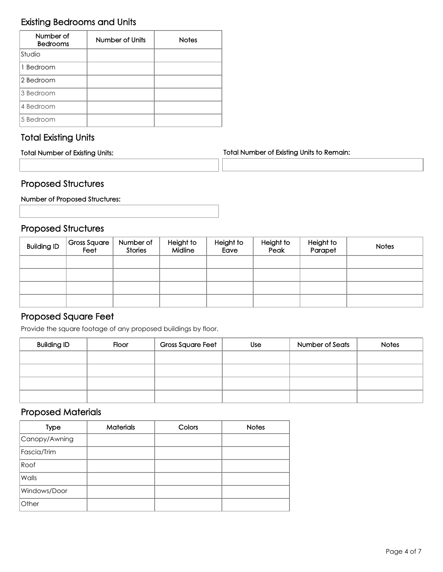# Existing Bedrooms and Units

| Number of<br><b>Bedrooms</b> | Number of Units | <b>Notes</b> |
|------------------------------|-----------------|--------------|
| Studio                       |                 |              |
| 1 Bedroom                    |                 |              |
| 2 Bedroom                    |                 |              |
| 3 Bedroom                    |                 |              |
| 4 Bedroom                    |                 |              |
| 5 Bedroom                    |                 |              |

# Total Existing Units

| <b>Total Number of Existing Units:</b> | <b>Total Number of Existing Units to Remain:</b> |  |  |
|----------------------------------------|--------------------------------------------------|--|--|
|                                        |                                                  |  |  |

# Proposed Structures

Number of Proposed Structures:

# Proposed Structures

| <b>Building ID</b> | <b>Gross Square</b><br>Feet | Number of<br><b>Stories</b> | Height to<br><b>Midline</b> | Height to<br>Eave | Height to<br>Peak | Height to<br>Parapet | <b>Notes</b> |
|--------------------|-----------------------------|-----------------------------|-----------------------------|-------------------|-------------------|----------------------|--------------|
|                    |                             |                             |                             |                   |                   |                      |              |
|                    |                             |                             |                             |                   |                   |                      |              |
|                    |                             |                             |                             |                   |                   |                      |              |
|                    |                             |                             |                             |                   |                   |                      |              |

## Proposed Square Feet

Provide the square footage of any proposed buildings by floor.

| <b>Building ID</b> | Floor | <b>Gross Square Feet</b> | <b>Use</b> | Number of Seats | <b>Notes</b> |
|--------------------|-------|--------------------------|------------|-----------------|--------------|
|                    |       |                          |            |                 |              |
|                    |       |                          |            |                 |              |
|                    |       |                          |            |                 |              |
|                    |       |                          |            |                 |              |

## Proposed Materials

| <b>Type</b>   | <b>Materials</b> | Colors | <b>Notes</b> |
|---------------|------------------|--------|--------------|
| Canopy/Awning |                  |        |              |
| Fascia/Trim   |                  |        |              |
| Roof          |                  |        |              |
| Walls         |                  |        |              |
| Windows/Door  |                  |        |              |
| Other         |                  |        |              |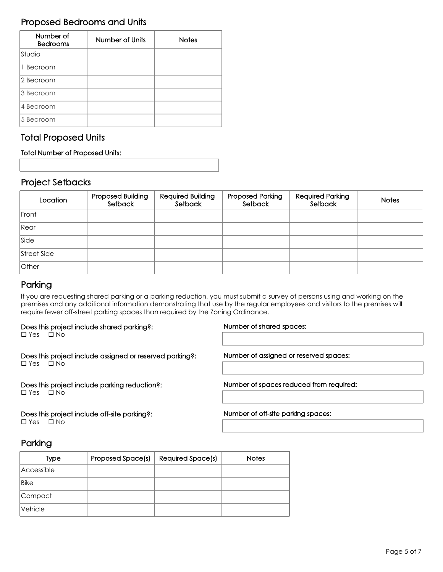## Proposed Bedrooms and Units

| Number of<br><b>Bedrooms</b> | Number of Units | <b>Notes</b> |
|------------------------------|-----------------|--------------|
| Studio                       |                 |              |
| 1 Bedroom                    |                 |              |
| 2 Bedroom                    |                 |              |
| 3 Bedroom                    |                 |              |
| 4 Bedroom                    |                 |              |
| 5 Bedroom                    |                 |              |

## Total Proposed Units

#### Total Number of Proposed Units:

## Project Setbacks

| Location    | Proposed Building<br>Setback | Required Building<br>Setback | <b>Proposed Parking</b><br>Setback | <b>Required Parking</b><br>Setback | <b>Notes</b> |
|-------------|------------------------------|------------------------------|------------------------------------|------------------------------------|--------------|
| Front       |                              |                              |                                    |                                    |              |
| Rear        |                              |                              |                                    |                                    |              |
| Side        |                              |                              |                                    |                                    |              |
| Street Side |                              |                              |                                    |                                    |              |
| Other       |                              |                              |                                    |                                    |              |

## Parking

If you are requesting shared parking or a parking reduction, you must submit a survey of persons using and working on the premises and any additional information demonstrating that use by the regular employees and visitors to the premises will require fewer off-street parking spaces than required by the Zoning Ordinance.

#### Does this project include shared parking?:

 $\square$  Yes  $\square$  No

Does this project include assigned or reserved parking?:  $\square$  Yes  $\square$  No

Does this project include parking reduction?:  $\square$  Yes  $\square$  No

Does this project include off-site parking?:  $\square$  Yes  $\square$  No

#### Number of shared spaces:

Number of assigned or reserved spaces:

Number of spaces reduced from required:

Number of off-site parking spaces:

# Parking

| <b>Type</b> | <b>Proposed Space(s)</b> | <b>Required Space(s)</b> | <b>Notes</b> |
|-------------|--------------------------|--------------------------|--------------|
| Accessible  |                          |                          |              |
| <b>Bike</b> |                          |                          |              |
| Compact     |                          |                          |              |
| Vehicle     |                          |                          |              |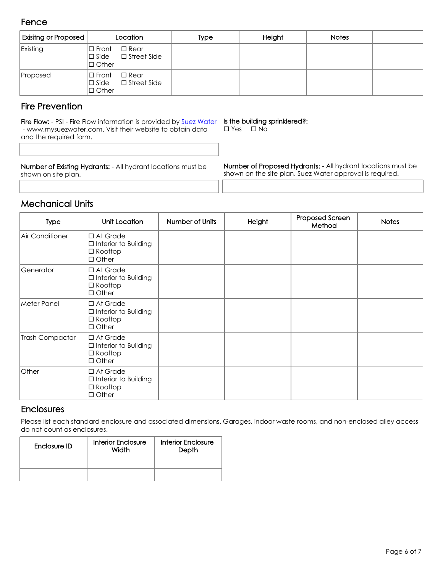### Fence

| Exisitng or Proposed | Location                                                                   | Type | Height | <b>Notes</b> |  |
|----------------------|----------------------------------------------------------------------------|------|--------|--------------|--|
| Existing             | $\square$ Rear<br> □ Front<br>$\Box$ Side $\Box$ Street Side<br>I□ Other   |      |        |              |  |
| Proposed             | $\square$ Rear<br>l□ Front<br>$\square$ Street Side<br>∣□ Side<br>l□ Other |      |        |              |  |

## Fire Prevention

Fire Flow: - PSI - Fire Flow information is provided by [Suez Water](https://www.mysuezwater.com/global-home) - www.mysuezwater.com. Visit their website to obtain data and the required form.

#### Is the building sprinklered?:

 $\square$  Yes  $\square$  No

Number of Existing Hydrants: - All hydrant locations must be shown on site plan.

Number of Proposed Hydrants: - All hydrant locations must be shown on the site plan. Suez Water approval is required.

## Mechanical Units

| Type            | Unit Location                                                                       | Number of Units | Height | Proposed Screen<br>Method | <b>Notes</b> |
|-----------------|-------------------------------------------------------------------------------------|-----------------|--------|---------------------------|--------------|
| Air Conditioner | □ At Grade<br>$\Box$ Interior to Building<br>$\Box$ Rooftop<br>$\Box$ Other         |                 |        |                           |              |
| Generator       | □ At Grade<br>$\Box$ Interior to Building<br>$\Box$ Rooftop<br>$\Box$ Other         |                 |        |                           |              |
| Meter Panel     | □ At Grade<br>$\Box$ Interior to Building<br>$\Box$ Rooftop<br>$\Box$ Other         |                 |        |                           |              |
| Trash Compactor | $\Box$ At Grade<br>$\Box$ Interior to Building<br>$\square$ Rooftop<br>$\Box$ Other |                 |        |                           |              |
| Other           | □ At Grade<br>$\Box$ Interior to Building<br>$\Box$ Rooftop<br>$\Box$ Other         |                 |        |                           |              |

### **Enclosures**

Please list each standard enclosure and associated dimensions. Garages, indoor waste rooms, and non-enclosed alley access do not count as enclosures.

| Enclosure ID | Interior Enclosure<br>Width | Interior Enclosure<br>Depth |  |
|--------------|-----------------------------|-----------------------------|--|
|              |                             |                             |  |
|              |                             |                             |  |